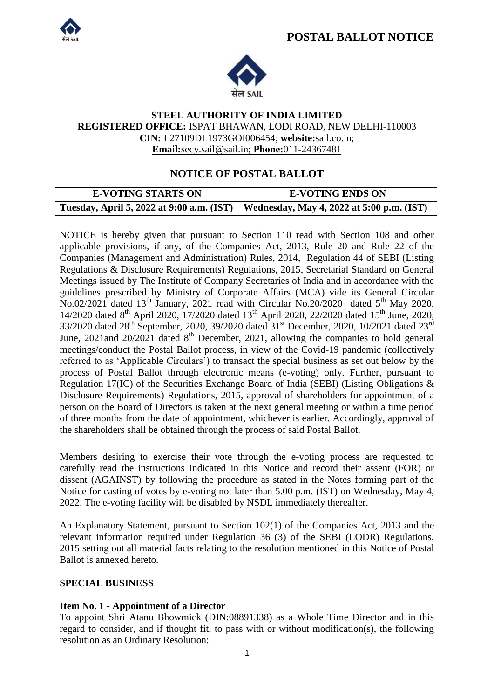



#### **STEEL AUTHORITY OF INDIA LIMITED REGISTERED OFFICE:** ISPAT BHAWAN, LODI ROAD, NEW DELHI-110003 **CIN:** L27109DL1973GOI006454; **website:**sail.co.in; **Email:**secy.sail@sail.in; **Phone:**011-24367481

## **NOTICE OF POSTAL BALLOT**

| <b>E-VOTING STARTS ON</b> | <b>E-VOTING ENDS ON</b>                                                             |
|---------------------------|-------------------------------------------------------------------------------------|
|                           | Tuesday, April 5, 2022 at 9:00 a.m. (IST) Wednesday, May 4, 2022 at 5:00 p.m. (IST) |

NOTICE is hereby given that pursuant to Section 110 read with Section 108 and other applicable provisions, if any, of the Companies Act, 2013, Rule 20 and Rule 22 of the Companies (Management and Administration) Rules, 2014, Regulation 44 of SEBI (Listing Regulations & Disclosure Requirements) Regulations, 2015, Secretarial Standard on General Meetings issued by The Institute of Company Secretaries of India and in accordance with the guidelines prescribed by Ministry of Corporate Affairs (MCA) vide its General Circular No.02/2021 dated 13<sup>th</sup> January, 2021 read with Circular No.20/2020 dated 5<sup>th</sup> May 2020, 14/2020 dated 8<sup>th</sup> April 2020, 17/2020 dated 13<sup>th</sup> April 2020, 22/2020 dated 15<sup>th</sup> June, 2020, 33/2020 dated 28<sup>th</sup> September, 2020, 39/2020 dated 31<sup>st</sup> December, 2020, 10/2021 dated 23<sup>rd</sup> June, 2021and  $20/2021$  dated  $8<sup>th</sup>$  December, 2021, allowing the companies to hold general meetings/conduct the Postal Ballot process, in view of the Covid-19 pandemic (collectively referred to as "Applicable Circulars") to transact the special business as set out below by the process of Postal Ballot through electronic means (e-voting) only. Further, pursuant to Regulation 17(IC) of the Securities Exchange Board of India (SEBI) (Listing Obligations & Disclosure Requirements) Regulations, 2015, approval of shareholders for appointment of a person on the Board of Directors is taken at the next general meeting or within a time period of three months from the date of appointment, whichever is earlier. Accordingly, approval of the shareholders shall be obtained through the process of said Postal Ballot.

Members desiring to exercise their vote through the e-voting process are requested to carefully read the instructions indicated in this Notice and record their assent (FOR) or dissent (AGAINST) by following the procedure as stated in the Notes forming part of the Notice for casting of votes by e-voting not later than 5.00 p.m. (IST) on Wednesday, May 4, 2022. The e-voting facility will be disabled by NSDL immediately thereafter.

An Explanatory Statement, pursuant to Section 102(1) of the Companies Act, 2013 and the relevant information required under Regulation 36 (3) of the SEBI (LODR) Regulations, 2015 setting out all material facts relating to the resolution mentioned in this Notice of Postal Ballot is annexed hereto.

#### **SPECIAL BUSINESS**

### **Item No. 1 - Appointment of a Director**

To appoint Shri Atanu Bhowmick (DIN:08891338) as a Whole Time Director and in this regard to consider, and if thought fit, to pass with or without modification(s), the following resolution as an Ordinary Resolution: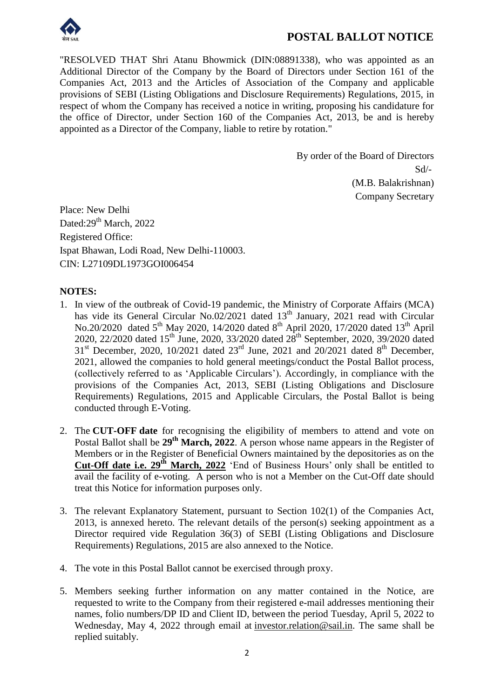

# **POSTAL BALLOT NOTICE**

"RESOLVED THAT Shri Atanu Bhowmick (DIN:08891338), who was appointed as an Additional Director of the Company by the Board of Directors under Section 161 of the Companies Act, 2013 and the Articles of Association of the Company and applicable provisions of SEBI (Listing Obligations and Disclosure Requirements) Regulations, 2015, in respect of whom the Company has received a notice in writing, proposing his candidature for the office of Director, under Section 160 of the Companies Act, 2013, be and is hereby appointed as a Director of the Company, liable to retire by rotation."

> By order of the Board of Directors Sd/- (M.B. Balakrishnan) Company Secretary

Place: New Delhi Dated:29<sup>th</sup> March, 2022 Registered Office: Ispat Bhawan, Lodi Road, New Delhi-110003. CIN: L27109DL1973GOI006454

#### **NOTES:**

- 1. In view of the outbreak of Covid-19 pandemic, the Ministry of Corporate Affairs (MCA) has vide its General Circular No.02/2021 dated 13<sup>th</sup> January, 2021 read with Circular No.20/2020 dated 5<sup>th</sup> May 2020, 14/2020 dated 8<sup>th</sup> April 2020, 17/2020 dated 13<sup>th</sup> April 2020, 22/2020 dated 15<sup>th</sup> June, 2020, 33/2020 dated  $28^{th}$  September, 2020, 39/2020 dated  $31<sup>st</sup>$  December, 2020, 10/2021 dated  $23<sup>rd</sup>$  June, 2021 and 20/2021 dated  $8<sup>th</sup>$  December, 2021, allowed the companies to hold general meetings/conduct the Postal Ballot process, (collectively referred to as "Applicable Circulars"). Accordingly, in compliance with the provisions of the Companies Act, 2013, SEBI (Listing Obligations and Disclosure Requirements) Regulations, 2015 and Applicable Circulars, the Postal Ballot is being conducted through E-Voting.
- 2. The **CUT-OFF date** for recognising the eligibility of members to attend and vote on Postal Ballot shall be 29<sup>th</sup> March, 2022. A person whose name appears in the Register of Members or in the Register of Beneficial Owners maintained by the depositories as on the **Cut-Off date i.e. 29th March, 2022** "End of Business Hours" only shall be entitled to avail the facility of e-voting. A person who is not a Member on the Cut-Off date should treat this Notice for information purposes only.
- 3. The relevant Explanatory Statement, pursuant to Section 102(1) of the Companies Act, 2013, is annexed hereto. The relevant details of the person(s) seeking appointment as a Director required vide Regulation 36(3) of SEBI (Listing Obligations and Disclosure Requirements) Regulations, 2015 are also annexed to the Notice.
- 4. The vote in this Postal Ballot cannot be exercised through proxy.
- 5. Members seeking further information on any matter contained in the Notice, are requested to write to the Company from their registered e-mail addresses mentioning their names, folio numbers/DP ID and Client ID, between the period Tuesday, April 5, 2022 to Wednesday, May 4, 2022 through email at investor.relation@sail.in. The same shall be replied suitably.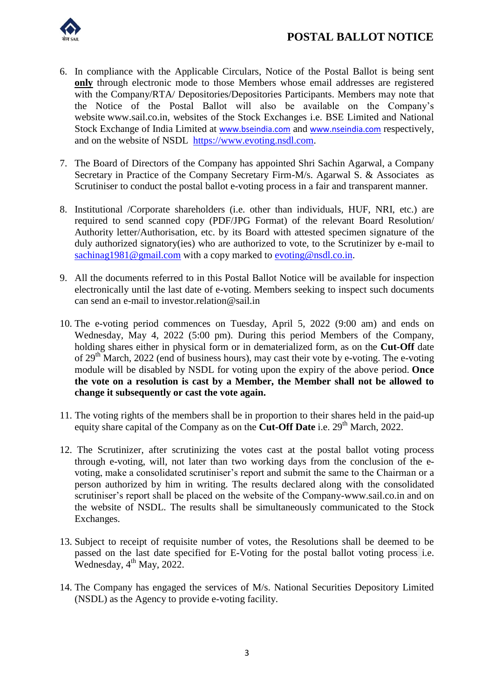

- 6. In compliance with the Applicable Circulars, Notice of the Postal Ballot is being sent **only** through electronic mode to those Members whose email addresses are registered with the Company/RTA/ Depositories/Depositories Participants. Members may note that the Notice of the Postal Ballot will also be available on the Company"s website www.sail.co.in, websites of the Stock Exchanges i.e. BSE Limited and National Stock Exchange of India Limited at www.bseindia.com and www.nseindia.com respectively, and on the website of NSDL [https://www.evoting.nsdl.com.](https://www.evoting.nsdl.com/)
- 7. The Board of Directors of the Company has appointed Shri Sachin Agarwal, a Company Secretary in Practice of the Company Secretary Firm-M/s. Agarwal S. & Associates as Scrutiniser to conduct the postal ballot e-voting process in a fair and transparent manner.
- 8. Institutional /Corporate shareholders (i.e. other than individuals, HUF, NRI, etc.) are required to send scanned copy (PDF/JPG Format) of the relevant Board Resolution/ Authority letter/Authorisation, etc. by its Board with attested specimen signature of the duly authorized signatory(ies) who are authorized to vote, to the Scrutinizer by e-mail to [sachinag1981@gmail.com](mailto:sachinag1981@gmail.com) with a copy marked to [evoting@nsdl.co.in.](mailto:evoting@nsdl.co.in)
- 9. All the documents referred to in this Postal Ballot Notice will be available for inspection electronically until the last date of e-voting. Members seeking to inspect such documents can send an e-mail to investor.relation@sail.in
- 10. The e-voting period commences on Tuesday, April 5, 2022 (9:00 am) and ends on Wednesday, May 4, 2022 (5:00 pm). During this period Members of the Company, holding shares either in physical form or in dematerialized form, as on the **Cut-Off** date of 29<sup>th</sup> March, 2022 (end of business hours), may cast their vote by e-voting. The e-voting module will be disabled by NSDL for voting upon the expiry of the above period. **Once the vote on a resolution is cast by a Member, the Member shall not be allowed to change it subsequently or cast the vote again.**
- 11. The voting rights of the members shall be in proportion to their shares held in the paid-up equity share capital of the Company as on the **Cut-Off Date** i.e. 29<sup>th</sup> March, 2022.
- 12. The Scrutinizer, after scrutinizing the votes cast at the postal ballot voting process through e-voting, will, not later than two working days from the conclusion of the evoting, make a consolidated scrutiniser"s report and submit the same to the Chairman or a person authorized by him in writing. The results declared along with the consolidated scrutiniser"s report shall be placed on the website of the Company-www.sail.co.in and on the website of NSDL. The results shall be simultaneously communicated to the Stock Exchanges.
- 13. Subject to receipt of requisite number of votes, the Resolutions shall be deemed to be passed on the last date specified for E-Voting for the postal ballot voting process i.e. Wednesday,  $4^{th}$  May, 2022.
- 14. The Company has engaged the services of M/s. National Securities Depository Limited (NSDL) as the Agency to provide e-voting facility.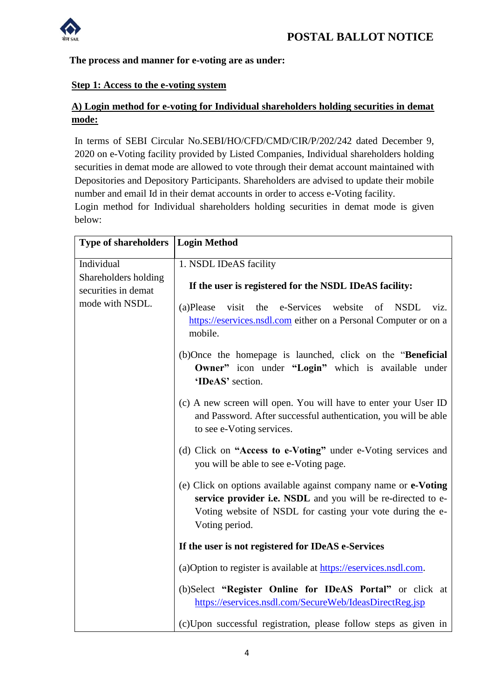

### **The process and manner for e-voting are as under:**

#### **Step 1: Access to the e-voting system**

## **A) Login method for e-voting for Individual shareholders holding securities in demat mode:**

In terms of SEBI Circular No.SEBI/HO/CFD/CMD/CIR/P/202/242 dated December 9, 2020 on e-Voting facility provided by Listed Companies, Individual shareholders holding securities in demat mode are allowed to vote through their demat account maintained with Depositories and Depository Participants. Shareholders are advised to update their mobile number and email Id in their demat accounts in order to access e-Voting facility.

Login method for Individual shareholders holding securities in demat mode is given below:

| <b>Type of shareholders</b>                                    | Login Method                                                                                                                                                                                                           |
|----------------------------------------------------------------|------------------------------------------------------------------------------------------------------------------------------------------------------------------------------------------------------------------------|
| Individual                                                     | 1. NSDL IDeAS facility                                                                                                                                                                                                 |
| Shareholders holding<br>securities in demat<br>mode with NSDL. | If the user is registered for the NSDL IDeAS facility:                                                                                                                                                                 |
|                                                                | e-Services<br>visit<br>the<br>website<br>of<br><b>NSDL</b><br>(a)Please<br>viz.<br>https://eservices.nsdl.com either on a Personal Computer or on a<br>mobile.                                                         |
|                                                                | (b)Once the homepage is launched, click on the " <b>Beneficial</b> "<br>Owner" icon under "Login" which is available under<br>'IDeAS' section.                                                                         |
|                                                                | (c) A new screen will open. You will have to enter your User ID<br>and Password. After successful authentication, you will be able<br>to see e-Voting services.                                                        |
|                                                                | (d) Click on "Access to e-Voting" under e-Voting services and<br>you will be able to see e-Voting page.                                                                                                                |
|                                                                | (e) Click on options available against company name or <b>e-Voting</b><br>service provider i.e. NSDL and you will be re-directed to e-<br>Voting website of NSDL for casting your vote during the e-<br>Voting period. |
|                                                                | If the user is not registered for IDeAS e-Services                                                                                                                                                                     |
|                                                                | (a) Option to register is available at https://eservices.nsdl.com.                                                                                                                                                     |
|                                                                | (b)Select "Register Online for IDeAS Portal" or click at<br>https://eservices.nsdl.com/SecureWeb/IdeasDirectReg.jsp                                                                                                    |
|                                                                | (c)Upon successful registration, please follow steps as given in                                                                                                                                                       |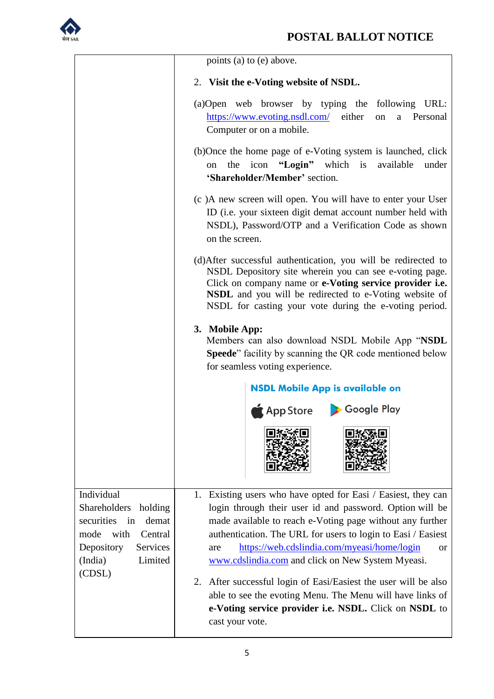

|                                                                                                                                                         | points (a) to (e) above.                                                                                                                                                                                                                                                                                                                                                |
|---------------------------------------------------------------------------------------------------------------------------------------------------------|-------------------------------------------------------------------------------------------------------------------------------------------------------------------------------------------------------------------------------------------------------------------------------------------------------------------------------------------------------------------------|
|                                                                                                                                                         | 2. Visit the e-Voting website of NSDL.                                                                                                                                                                                                                                                                                                                                  |
|                                                                                                                                                         | (a) Open web browser by typing the following URL:<br>either<br>https://www.evoting.nsdl.com/<br>a Personal<br>on<br>Computer or on a mobile.                                                                                                                                                                                                                            |
|                                                                                                                                                         | (b)Once the home page of e-Voting system is launched, click<br>the icon "Login" which is available<br>under<br>on<br>'Shareholder/Member' section.                                                                                                                                                                                                                      |
|                                                                                                                                                         | (c) A new screen will open. You will have to enter your User<br>ID (i.e. your sixteen digit demat account number held with<br>NSDL), Password/OTP and a Verification Code as shown<br>on the screen.                                                                                                                                                                    |
|                                                                                                                                                         | (d) After successful authentication, you will be redirected to<br>NSDL Depository site wherein you can see e-voting page.<br>Click on company name or e-Voting service provider i.e.<br>NSDL and you will be redirected to e-Voting website of<br>NSDL for casting your vote during the e-voting period.                                                                |
|                                                                                                                                                         | 3. Mobile App:<br>Members can also download NSDL Mobile App "NSDL<br>Speede" facility by scanning the QR code mentioned below<br>for seamless voting experience.                                                                                                                                                                                                        |
|                                                                                                                                                         | <b>NSDL Mobile App is available on</b><br>App Store > Google Play                                                                                                                                                                                                                                                                                                       |
|                                                                                                                                                         |                                                                                                                                                                                                                                                                                                                                                                         |
| Individual<br>Shareholders<br>holding<br>demat<br>securities<br>in<br>with<br>mode<br>Central<br>Services<br>Depository<br>(India)<br>Limited<br>(CDSL) | 1. Existing users who have opted for Easi / Easiest, they can<br>login through their user id and password. Option will be<br>made available to reach e-Voting page without any further<br>authentication. The URL for users to login to Easi / Easiest<br>https://web.cdslindia.com/myeasi/home/login<br>are<br>or<br>www.cdslindia.com and click on New System Myeasi. |
|                                                                                                                                                         | 2. After successful login of Easi/Easiest the user will be also<br>able to see the evoting Menu. The Menu will have links of<br>e-Voting service provider i.e. NSDL. Click on NSDL to<br>cast your vote.                                                                                                                                                                |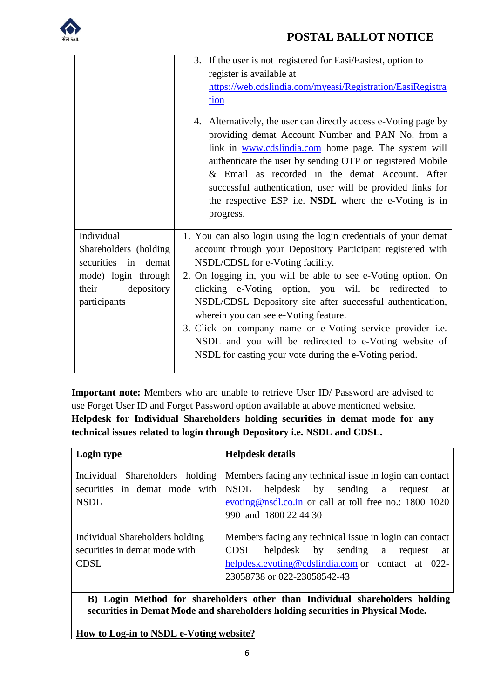

# **POSTAL BALLOT NOTICE**

|                                                                                                                          | 3. If the user is not registered for Easi/Easiest, option to<br>register is available at<br>https://web.cdslindia.com/myeasi/Registration/EasiRegistra<br>tion<br>4. Alternatively, the user can directly access e-Voting page by                                                                                                                                                                                                                                                                                                                                                          |
|--------------------------------------------------------------------------------------------------------------------------|--------------------------------------------------------------------------------------------------------------------------------------------------------------------------------------------------------------------------------------------------------------------------------------------------------------------------------------------------------------------------------------------------------------------------------------------------------------------------------------------------------------------------------------------------------------------------------------------|
|                                                                                                                          | providing demat Account Number and PAN No. from a<br>link in www.cdslindia.com home page. The system will<br>authenticate the user by sending OTP on registered Mobile<br>& Email as recorded in the demat Account. After<br>successful authentication, user will be provided links for<br>the respective ESP i.e. NSDL where the e-Voting is in<br>progress.                                                                                                                                                                                                                              |
| Individual<br>Shareholders (holding<br>securities in demat<br>mode) login through<br>depository<br>their<br>participants | 1. You can also login using the login credentials of your demat<br>account through your Depository Participant registered with<br>NSDL/CDSL for e-Voting facility.<br>2. On logging in, you will be able to see e-Voting option. On<br>clicking e-Voting option, you will be redirected to<br>NSDL/CDSL Depository site after successful authentication,<br>wherein you can see e-Voting feature.<br>3. Click on company name or e-Voting service provider <i>i.e.</i><br>NSDL and you will be redirected to e-Voting website of<br>NSDL for casting your vote during the e-Voting period. |

**Important note:** Members who are unable to retrieve User ID/ Password are advised to use Forget User ID and Forget Password option available at above mentioned website. **Helpdesk for Individual Shareholders holding securities in demat mode for any technical issues related to login through Depository i.e. NSDL and CDSL.**

| Login type                                                                  | <b>Helpdesk details</b>                                  |
|-----------------------------------------------------------------------------|----------------------------------------------------------|
|                                                                             |                                                          |
| Individual<br>Shareholders holding                                          | Members facing any technical issue in login can contact  |
| securities in demat mode with                                               | NSDL<br>helpdesk by sending a<br>request<br>at           |
| <b>NSDL</b>                                                                 | evoting@nsdl.co.in or call at toll free no.: $1800$ 1020 |
|                                                                             | 990 and 1800 22 44 30                                    |
|                                                                             |                                                          |
| Individual Shareholders holding                                             | Members facing any technical issue in login can contact  |
| securities in demat mode with                                               | helpdesk by sending a<br>CDSL<br>request<br>at           |
| <b>CDSL</b>                                                                 | helpdesk.evoting@cdslindia.com or contact at 022-        |
|                                                                             | 23058738 or 022-23058542-43                              |
|                                                                             |                                                          |
| B) Login Method for shareholders other than Individual shareholders holding |                                                          |

**securities in Demat Mode and shareholders holding securities in Physical Mode.**

**How to Log-in to NSDL e-Voting website?**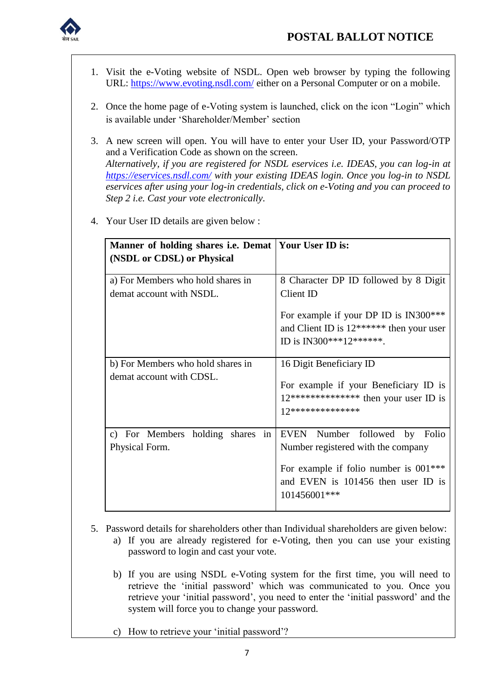

- 1. Visit the e-Voting website of NSDL. Open web browser by typing the following URL:<https://www.evoting.nsdl.com/> either on a Personal Computer or on a mobile.
- 2. Once the home page of e-Voting system is launched, click on the icon "Login" which is available under 'Shareholder/Member' section
- 3. A new screen will open. You will have to enter your User ID, your Password/OTP and a Verification Code as shown on the screen. *Alternatively, if you are registered for NSDL eservices i.e. IDEAS, you can log-in at <https://eservices.nsdl.com/> with your existing IDEAS login. Once you log-in to NSDL eservices after using your log-in credentials, click on e-Voting and you can proceed to Step 2 i.e. Cast your vote electronically.*

| Manner of holding shares i.e. Demat   Your User ID is:<br>(NSDL or CDSL) or Physical |                                                                                                                                                                      |
|--------------------------------------------------------------------------------------|----------------------------------------------------------------------------------------------------------------------------------------------------------------------|
| a) For Members who hold shares in<br>demat account with NSDL.                        | 8 Character DP ID followed by 8 Digit<br>Client ID                                                                                                                   |
|                                                                                      | For example if your DP ID is IN300***<br>and Client ID is $12******$ then your user<br>ID is IN300***12*******.                                                      |
| b) For Members who hold shares in<br>demat account with CDSL.                        | 16 Digit Beneficiary ID<br>For example if your Beneficiary ID is<br>$12***************$ then your user ID is<br>12 ***************                                   |
| c) For Members holding shares in<br>Physical Form.                                   | EVEN Number followed by Folio<br>Number registered with the company<br>For example if folio number is $001***$<br>and EVEN is 101456 then user ID is<br>101456001*** |

4. Your User ID details are given below :

- 5. Password details for shareholders other than Individual shareholders are given below:
	- a) If you are already registered for e-Voting, then you can use your existing password to login and cast your vote.
	- b) If you are using NSDL e-Voting system for the first time, you will need to retrieve the "initial password" which was communicated to you. Once you retrieve your 'initial password', you need to enter the 'initial password' and the system will force you to change your password.
	- c) How to retrieve your 'initial password'?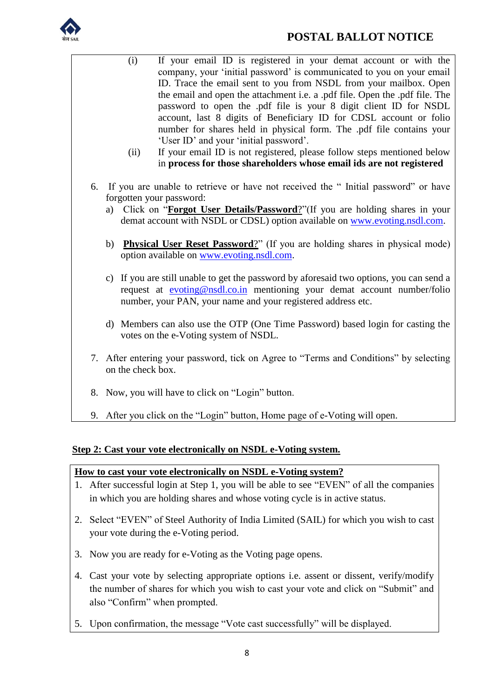

(i) If your email ID is registered in your demat account or with the company, your "initial password" is communicated to you on your email ID. Trace the email sent to you from NSDL from your mailbox. Open the email and open the attachment i.e. a .pdf file. Open the .pdf file. The password to open the .pdf file is your 8 digit client ID for NSDL account, last 8 digits of Beneficiary ID for CDSL account or folio number for shares held in physical form. The .pdf file contains your 'User ID' and your 'initial password'. (ii) If your email ID is not registered, please follow steps mentioned below in **process for those shareholders whose email ids are not registered** 6. If you are unable to retrieve or have not received the " Initial password" or have forgotten your password: a) Click on "**[Forgot User Details/Password](https://www.evoting.nsdl.com/eVotingWeb/commonhtmls/NewUser.jsp)**?"(If you are holding shares in your demat account with NSDL or CDSL) option available on [www.evoting.nsdl.com.](http://www.evoting.nsdl.com/) b) **[Physical User Reset Password](https://www.evoting.nsdl.com/eVotingWeb/commonhtmls/PhysicalUser.jsp)**?" (If you are holding shares in physical mode) option available on [www.evoting.nsdl.com.](http://www.evoting.nsdl.com/) c) If you are still unable to get the password by aforesaid two options, you can send a request at [evoting@nsdl.co.in](mailto:evoting@nsdl.co.in) mentioning your demat account number/folio number, your PAN, your name and your registered address etc. d) Members can also use the OTP (One Time Password) based login for casting the votes on the e-Voting system of NSDL. 7. After entering your password, tick on Agree to "Terms and Conditions" by selecting on the check box. 8. Now, you will have to click on "Login" button. 9. After you click on the "Login" button, Home page of e-Voting will open.

### **Step 2: Cast your vote electronically on NSDL e-Voting system.**

#### **How to cast your vote electronically on NSDL e-Voting system?**

- 1. After successful login at Step 1, you will be able to see "EVEN" of all the companies in which you are holding shares and whose voting cycle is in active status.
- 2. Select "EVEN" of Steel Authority of India Limited (SAIL) for which you wish to cast your vote during the e-Voting period.
- 3. Now you are ready for e-Voting as the Voting page opens.
- 4. Cast your vote by selecting appropriate options i.e. assent or dissent, verify/modify the number of shares for which you wish to cast your vote and click on "Submit" and also "Confirm" when prompted.
- 5. Upon confirmation, the message "Vote cast successfully" will be displayed.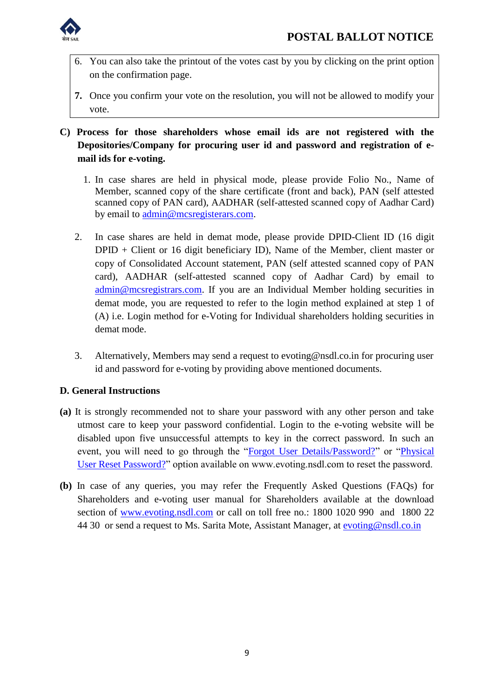

- 6. You can also take the printout of the votes cast by you by clicking on the print option on the confirmation page.
- **7.** Once you confirm your vote on the resolution, you will not be allowed to modify your vote.
- **C) Process for those shareholders whose email ids are not registered with the Depositories/Company for procuring user id and password and registration of email ids for e-voting.**
	- 1. In case shares are held in physical mode, please provide Folio No., Name of Member, scanned copy of the share certificate (front and back), PAN (self attested scanned copy of PAN card), AADHAR (self-attested scanned copy of Aadhar Card) by email to [admin@mcsregisterars.com.](mailto:admin@mcsregisterars.com)
	- 2. In case shares are held in demat mode, please provide DPID-Client ID (16 digit DPID + Client or 16 digit beneficiary ID), Name of the Member, client master or copy of Consolidated Account statement, PAN (self attested scanned copy of PAN card), AADHAR (self-attested scanned copy of Aadhar Card) by email to [admin@mcsregistrars.com.](mailto:admin@mcsregistrars.com) If you are an Individual Member holding securities in demat mode, you are requested to refer to the login method explained at step 1 of (A) i.e. Login method for e-Voting for Individual shareholders holding securities in demat mode.
	- 3. Alternatively, Members may send a request to evoting@nsdl.co.in for procuring user id and password for e-voting by providing above mentioned documents.

### **D. General Instructions**

- **(a)** It is strongly recommended not to share your password with any other person and take utmost care to keep your password confidential. Login to the e-voting website will be disabled upon five unsuccessful attempts to key in the correct password. In such an event, you will need to go through the ["Forgot User Details/Password?"](https://www.evoting.nsdl.com/eVotingWeb/commonhtmls/NewUser.jsp) or ["Physical](https://www.evoting.nsdl.com/eVotingWeb/commonhtmls/PhysicalUser.jsp)  [User Reset Password?"](https://www.evoting.nsdl.com/eVotingWeb/commonhtmls/PhysicalUser.jsp) option available on www.evoting.nsdl.com to reset the password.
- **(b)** In case of any queries, you may refer the Frequently Asked Questions (FAQs) for Shareholders and e-voting user manual for Shareholders available at the download section of [www.evoting.nsdl.com](http://www.evoting.nsdl.com/) or call on toll free no.: 1800 1020 990 and 1800 22 44 30 or send a request to Ms. Sarita Mote, Assistant Manager, at [evoting@nsdl.co.in](mailto:evoting@nsdl.co.in)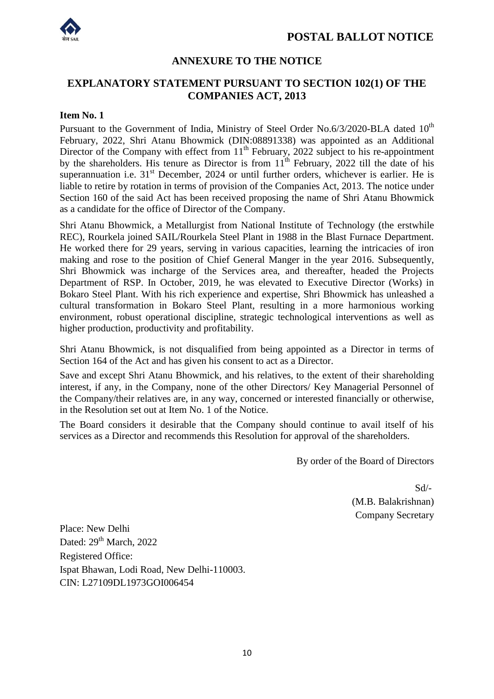



## **ANNEXURE TO THE NOTICE**

## **EXPLANATORY STATEMENT PURSUANT TO SECTION 102(1) OF THE COMPANIES ACT, 2013**

#### **Item No. 1**

Pursuant to the Government of India, Ministry of Steel Order No.6/3/2020-BLA dated  $10^{th}$ February, 2022, Shri Atanu Bhowmick (DIN:08891338) was appointed as an Additional Director of the Company with effect from  $11<sup>th</sup>$  February, 2022 subject to his re-appointment by the shareholders. His tenure as Director is from  $11<sup>th</sup>$  February, 2022 till the date of his superannuation i.e.  $31<sup>st</sup>$  December, 2024 or until further orders, whichever is earlier. He is liable to retire by rotation in terms of provision of the Companies Act, 2013. The notice under Section 160 of the said Act has been received proposing the name of Shri Atanu Bhowmick as a candidate for the office of Director of the Company.

Shri Atanu Bhowmick, a Metallurgist from National Institute of Technology (the erstwhile REC), Rourkela joined SAIL/Rourkela Steel Plant in 1988 in the Blast Furnace Department. He worked there for 29 years, serving in various capacities, learning the intricacies of iron making and rose to the position of Chief General Manger in the year 2016. Subsequently, Shri Bhowmick was incharge of the Services area, and thereafter, headed the Projects Department of RSP. In October, 2019, he was elevated to Executive Director (Works) in Bokaro Steel Plant. With his rich experience and expertise, Shri Bhowmick has unleashed a cultural transformation in Bokaro Steel Plant, resulting in a more harmonious working environment, robust operational discipline, strategic technological interventions as well as higher production, productivity and profitability.

Shri Atanu Bhowmick, is not disqualified from being appointed as a Director in terms of Section 164 of the Act and has given his consent to act as a Director.

Save and except Shri Atanu Bhowmick, and his relatives, to the extent of their shareholding interest, if any, in the Company, none of the other Directors/ Key Managerial Personnel of the Company/their relatives are, in any way, concerned or interested financially or otherwise, in the Resolution set out at Item No. 1 of the Notice.

The Board considers it desirable that the Company should continue to avail itself of his services as a Director and recommends this Resolution for approval of the shareholders.

By order of the Board of Directors

 Sd/- (M.B. Balakrishnan) Company Secretary

Place: New Delhi Dated:  $29<sup>th</sup> March$ , 2022 Registered Office: Ispat Bhawan, Lodi Road, New Delhi-110003. CIN: L27109DL1973GOI006454